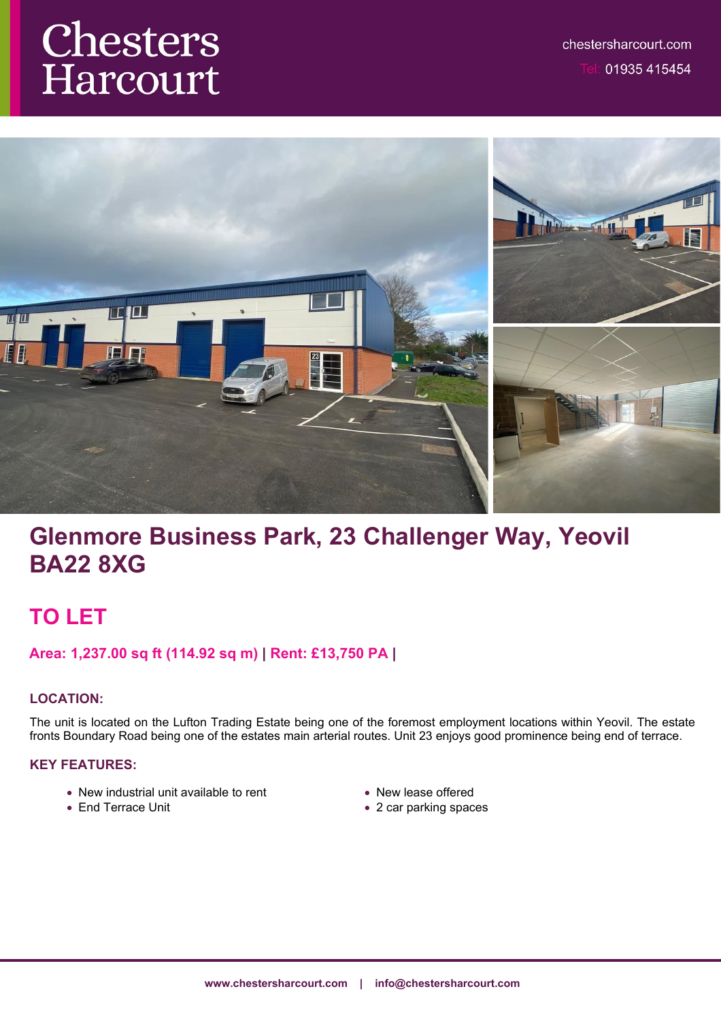# Chesters Harcourt



## **Glenmore Business Park, 23 Challenger Way, Yeovil BA22 8XG**

## **TO LET**

## **Area: 1,237.00 sq ft (114.92 sq m) | Rent: £13,750 PA |**

## **LOCATION:**

The unit is located on the Lufton Trading Estate being one of the foremost employment locations within Yeovil. The estate fronts Boundary Road being one of the estates main arterial routes. Unit 23 enjoys good prominence being end of terrace.

## **KEY FEATURES:**

- New industrial unit available to rent
- End Terrace Unit
- New lease offered
- 2 car parking spaces